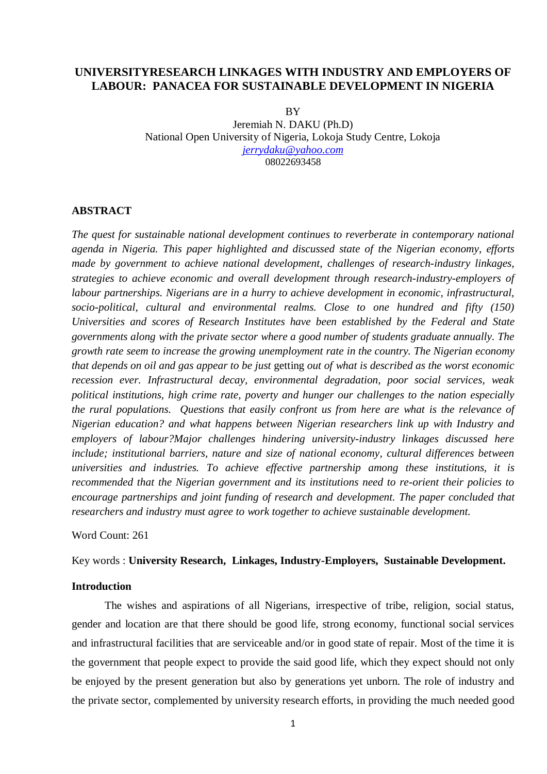## **UNIVERSITYRESEARCH LINKAGES WITH INDUSTRY AND EMPLOYERS OF LABOUR: PANACEA FOR SUSTAINABLE DEVELOPMENT IN NIGERIA**

**BY** Jeremiah N. DAKU (Ph.D) National Open University of Nigeria, Lokoja Study Centre, Lokoja *[jerrydaku@yahoo.com](mailto:jerrydaku@yahoo.com)* 08022693458

## **ABSTRACT**

*The quest for sustainable national development continues to reverberate in contemporary national agenda in Nigeria. This paper highlighted and discussed state of the Nigerian economy, efforts made by government to achieve national development, challenges of research-industry linkages, strategies to achieve economic and overall development through research-industry-employers of labour partnerships. Nigerians are in a hurry to achieve development in economic, infrastructural, socio-political, cultural and environmental realms. Close to one hundred and fifty (150) Universities and scores of Research Institutes have been established by the Federal and State governments along with the private sector where a good number of students graduate annually. The growth rate seem to increase the growing unemployment rate in the country. The Nigerian economy that depends on oil and gas appear to be just* getting *out of what is described as the worst economic recession ever. Infrastructural decay, environmental degradation, poor social services, weak political institutions, high crime rate, poverty and hunger our challenges to the nation especially the rural populations. Questions that easily confront us from here are what is the relevance of Nigerian education? and what happens between Nigerian researchers link up with Industry and employers of labour?Major challenges hindering university-industry linkages discussed here include; institutional barriers, nature and size of national economy, cultural differences between universities and industries. To achieve effective partnership among these institutions, it is recommended that the Nigerian government and its institutions need to re-orient their policies to encourage partnerships and joint funding of research and development. The paper concluded that researchers and industry must agree to work together to achieve sustainable development.* 

Word Count: 261

Key words : **University Research, Linkages, Industry-Employers, Sustainable Development.**

## **Introduction**

The wishes and aspirations of all Nigerians, irrespective of tribe, religion, social status, gender and location are that there should be good life, strong economy, functional social services and infrastructural facilities that are serviceable and/or in good state of repair. Most of the time it is the government that people expect to provide the said good life, which they expect should not only be enjoyed by the present generation but also by generations yet unborn. The role of industry and the private sector, complemented by university research efforts, in providing the much needed good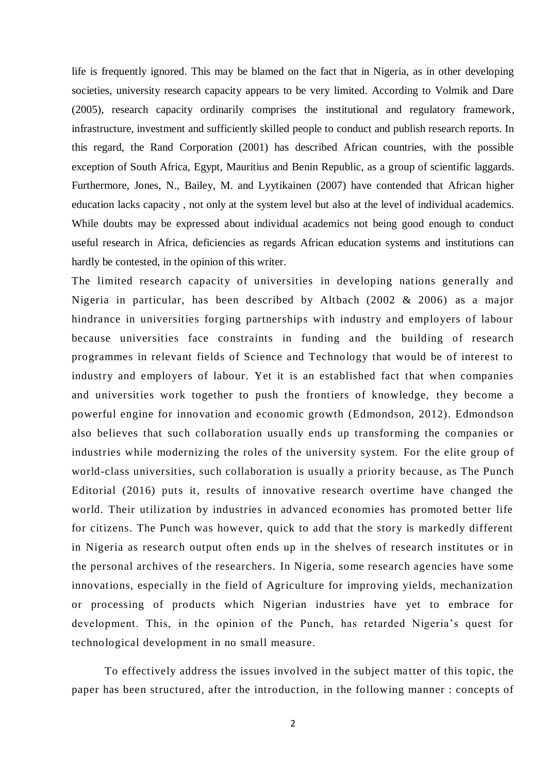life is frequently ignored. This may be blamed on the fact that in Nigeria, as in other developing societies, university research capacity appears to be very limited. According to Volmik and Dare (2005), research capacity ordinarily comprises the institutional and regulatory framework, infrastructure, investment and sufficiently skilled people to conduct and publish research reports. In this regard, the Rand Corporation (2001) has described African countries, with the possible exception of South Africa, Egypt, Mauritius and Benin Republic, as a group of scientific laggards. Furthermore, Jones, N., Bailey, M. and Lyytikainen (2007) have contended that African higher education lacks capacity , not only at the system level but also at the level of individual academics. While doubts may be expressed about individual academics not being good enough to conduct useful research in Africa, deficiencies as regards African education systems and institutions can hardly be contested, in the opinion of this writer.

The limited research capacity of universities in developing nations generally and Nigeria in particular, has been described by Altbach (2002 & 2006) as a major hindrance in universities forging partnerships with industry and employers of labour because universities face constraints in funding and the building of research programmes in relevant fields of Science and Technology that would be of interest to industry and employers of labour*.* Yet it is an established fact that when companies and universities work together to push the frontiers of knowledge, they become a powerful engine for innovation and economic growth (Edmondson, 2012). Edmondson also believes that such collaboration usually ends up transforming the companies or industries while modernizing the roles of the university system. For the elite group of world-class universities, such collaboration is usually a priority because, as The Punch Editorial (2016) puts it, results of innovative research overtime have changed the world. Their utilization by industries in advanced economies has promoted better life for citizens. The Punch was however, quick to add that the story is markedly different in Nigeria as research output often ends up in the shelves of research institutes or in the personal archives of the researchers. In Nigeria, some research agencies have some innovations, especially in the field of Agriculture for improving yields, mechanization or processing of products which Nigerian industries have yet to embrace for development. This, in the opinion of the Punch, has retarded Nigeria's quest for technological development in no small measure.

To effectively address the issues involved in the subject ma tter of this topic, the paper has been structured, after the introduction, in the following manner : concepts of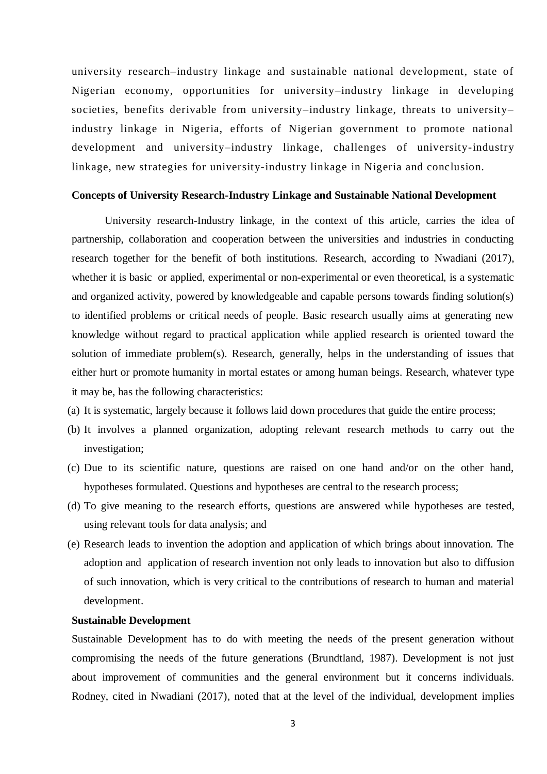university research–industry linkage and sustainable national development, state of Nigerian economy, opportunities for university–industry linkage in developing societies, benefits derivable from university–industry linkage, threats to university– industry linkage in Nigeria, efforts of Nigerian government to promote national development and university–industry linkage, challenges of university-industry linkage, new strategies for university-industry linkage in Nigeria and conclusion.

#### **Concepts of University Research-Industry Linkage and Sustainable National Development**

University research-Industry linkage, in the context of this article, carries the idea of partnership, collaboration and cooperation between the universities and industries in conducting research together for the benefit of both institutions. Research, according to Nwadiani (2017), whether it is basic or applied, experimental or non-experimental or even theoretical, is a systematic and organized activity, powered by knowledgeable and capable persons towards finding solution(s) to identified problems or critical needs of people. Basic research usually aims at generating new knowledge without regard to practical application while applied research is oriented toward the solution of immediate problem(s). Research, generally, helps in the understanding of issues that either hurt or promote humanity in mortal estates or among human beings. Research, whatever type it may be, has the following characteristics:

- (a) It is systematic, largely because it follows laid down procedures that guide the entire process;
- (b) It involves a planned organization, adopting relevant research methods to carry out the investigation;
- (c) Due to its scientific nature, questions are raised on one hand and/or on the other hand, hypotheses formulated. Questions and hypotheses are central to the research process;
- (d) To give meaning to the research efforts, questions are answered while hypotheses are tested, using relevant tools for data analysis; and
- (e) Research leads to invention the adoption and application of which brings about innovation. The adoption and application of research invention not only leads to innovation but also to diffusion of such innovation, which is very critical to the contributions of research to human and material development.

## **Sustainable Development**

Sustainable Development has to do with meeting the needs of the present generation without compromising the needs of the future generations (Brundtland, 1987). Development is not just about improvement of communities and the general environment but it concerns individuals. Rodney, cited in Nwadiani (2017), noted that at the level of the individual, development implies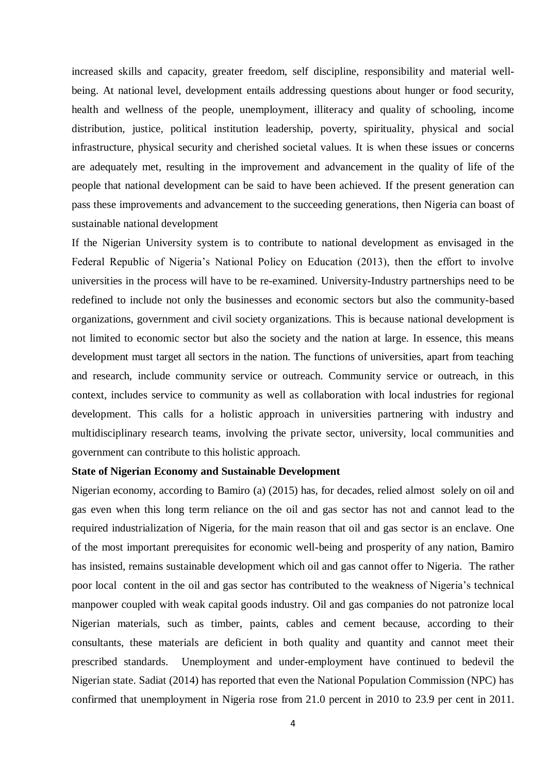increased skills and capacity, greater freedom, self discipline, responsibility and material wellbeing. At national level, development entails addressing questions about hunger or food security, health and wellness of the people, unemployment, illiteracy and quality of schooling, income distribution, justice, political institution leadership, poverty, spirituality, physical and social infrastructure, physical security and cherished societal values. It is when these issues or concerns are adequately met, resulting in the improvement and advancement in the quality of life of the people that national development can be said to have been achieved. If the present generation can pass these improvements and advancement to the succeeding generations, then Nigeria can boast of sustainable national development

If the Nigerian University system is to contribute to national development as envisaged in the Federal Republic of Nigeria's National Policy on Education (2013), then the effort to involve universities in the process will have to be re-examined. University-Industry partnerships need to be redefined to include not only the businesses and economic sectors but also the community-based organizations, government and civil society organizations. This is because national development is not limited to economic sector but also the society and the nation at large. In essence, this means development must target all sectors in the nation. The functions of universities, apart from teaching and research, include community service or outreach. Community service or outreach, in this context, includes service to community as well as collaboration with local industries for regional development. This calls for a holistic approach in universities partnering with industry and multidisciplinary research teams, involving the private sector, university, local communities and government can contribute to this holistic approach.

## **State of Nigerian Economy and Sustainable Development**

Nigerian economy, according to Bamiro (a) (2015) has, for decades, relied almost solely on oil and gas even when this long term reliance on the oil and gas sector has not and cannot lead to the required industrialization of Nigeria, for the main reason that oil and gas sector is an enclave. One of the most important prerequisites for economic well-being and prosperity of any nation, Bamiro has insisted, remains sustainable development which oil and gas cannot offer to Nigeria. The rather poor local content in the oil and gas sector has contributed to the weakness of Nigeria's technical manpower coupled with weak capital goods industry. Oil and gas companies do not patronize local Nigerian materials, such as timber, paints, cables and cement because, according to their consultants, these materials are deficient in both quality and quantity and cannot meet their prescribed standards. Unemployment and under-employment have continued to bedevil the Nigerian state. Sadiat (2014) has reported that even the National Population Commission (NPC) has confirmed that unemployment in Nigeria rose from 21.0 percent in 2010 to 23.9 per cent in 2011.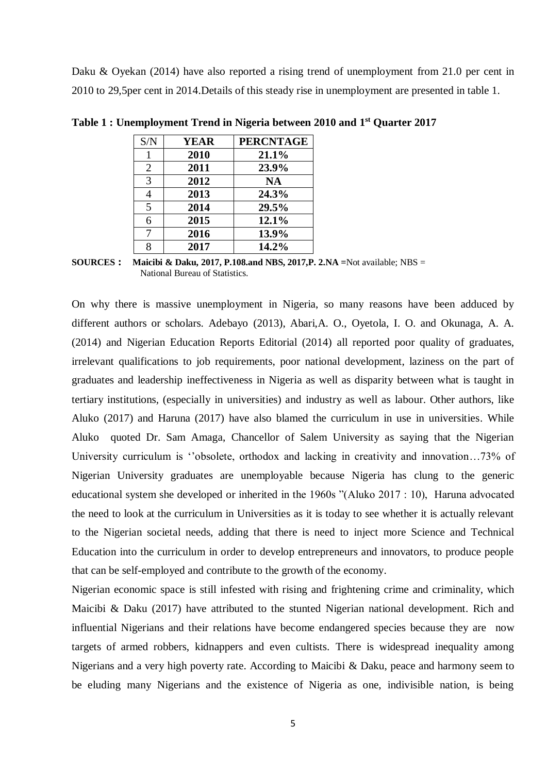Daku & Oyekan (2014) have also reported a rising trend of unemployment from 21.0 per cent in 2010 to 29,5per cent in 2014.Details of this steady rise in unemployment are presented in table 1.

| S/N            | <b>YEAR</b> | <b>PERCNTAGE</b> |
|----------------|-------------|------------------|
|                | 2010        | 21.1%            |
| $\overline{2}$ | 2011        | 23.9%            |
| 3              | 2012        | <b>NA</b>        |
| 4              | 2013        | 24.3%            |
| 5              | 2014        | 29.5%            |
| 6              | 2015        | 12.1%            |
| 7              | 2016        | 13.9%            |
| 8              | 2017        | 14.2%            |

**Table 1 : Unemployment Trend in Nigeria between 2010 and 1 st Quarter 2017**

**SOURCES : Maicibi & Daku, 2017, P.108.and NBS, 2017,P. 2.NA =**Not available; NBS = National Bureau of Statistics.

On why there is massive unemployment in Nigeria, so many reasons have been adduced by different authors or scholars. Adebayo (2013), Abari,A. O., Oyetola, I. O. and Okunaga, A. A. (2014) and Nigerian Education Reports Editorial (2014) all reported poor quality of graduates, irrelevant qualifications to job requirements, poor national development, laziness on the part of graduates and leadership ineffectiveness in Nigeria as well as disparity between what is taught in tertiary institutions, (especially in universities) and industry as well as labour. Other authors, like Aluko (2017) and Haruna (2017) have also blamed the curriculum in use in universities. While Aluko quoted Dr. Sam Amaga, Chancellor of Salem University as saying that the Nigerian University curriculum is ''obsolete, orthodox and lacking in creativity and innovation...73% of Nigerian University graduates are unemployable because Nigeria has clung to the generic educational system she developed or inherited in the 1960s "(Aluko 2017 : 10), Haruna advocated the need to look at the curriculum in Universities as it is today to see whether it is actually relevant to the Nigerian societal needs, adding that there is need to inject more Science and Technical Education into the curriculum in order to develop entrepreneurs and innovators, to produce people that can be self-employed and contribute to the growth of the economy.

Nigerian economic space is still infested with rising and frightening crime and criminality, which Maicibi & Daku (2017) have attributed to the stunted Nigerian national development. Rich and influential Nigerians and their relations have become endangered species because they are now targets of armed robbers, kidnappers and even cultists. There is widespread inequality among Nigerians and a very high poverty rate. According to Maicibi & Daku, peace and harmony seem to be eluding many Nigerians and the existence of Nigeria as one, indivisible nation, is being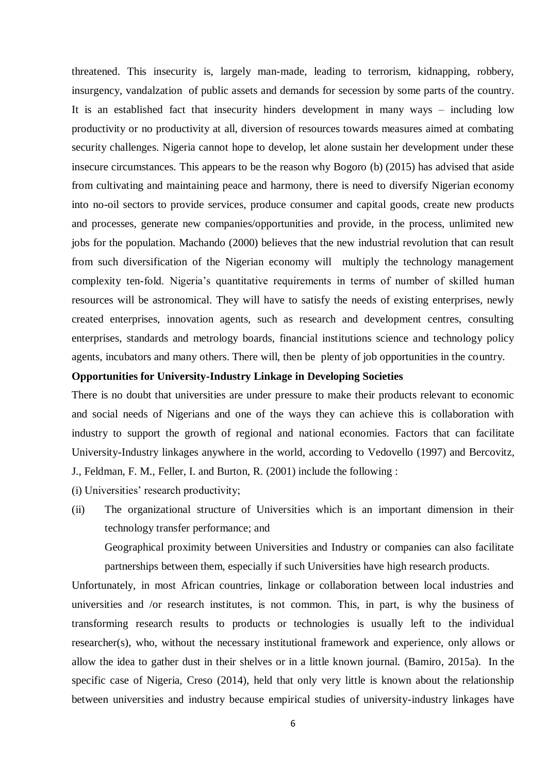threatened. This insecurity is, largely man-made, leading to terrorism, kidnapping, robbery, insurgency, vandalzation of public assets and demands for secession by some parts of the country. It is an established fact that insecurity hinders development in many ways – including low productivity or no productivity at all, diversion of resources towards measures aimed at combating security challenges. Nigeria cannot hope to develop, let alone sustain her development under these insecure circumstances. This appears to be the reason why Bogoro (b) (2015) has advised that aside from cultivating and maintaining peace and harmony, there is need to diversify Nigerian economy into no-oil sectors to provide services, produce consumer and capital goods, create new products and processes, generate new companies/opportunities and provide, in the process, unlimited new jobs for the population. Machando (2000) believes that the new industrial revolution that can result from such diversification of the Nigerian economy will multiply the technology management complexity ten-fold. Nigeria's quantitative requirements in terms of number of skilled human resources will be astronomical. They will have to satisfy the needs of existing enterprises, newly created enterprises, innovation agents, such as research and development centres, consulting enterprises, standards and metrology boards, financial institutions science and technology policy agents, incubators and many others. There will, then be plenty of job opportunities in the country.

## **Opportunities for University-Industry Linkage in Developing Societies**

There is no doubt that universities are under pressure to make their products relevant to economic and social needs of Nigerians and one of the ways they can achieve this is collaboration with industry to support the growth of regional and national economies. Factors that can facilitate University-Industry linkages anywhere in the world, according to Vedovello (1997) and Bercovitz, J., Feldman, F. M., Feller, I. and Burton, R. (2001) include the following :

(i) Universities' research productivity;

(ii) The organizational structure of Universities which is an important dimension in their technology transfer performance; and

Geographical proximity between Universities and Industry or companies can also facilitate partnerships between them, especially if such Universities have high research products.

Unfortunately, in most African countries, linkage or collaboration between local industries and universities and /or research institutes, is not common. This, in part, is why the business of transforming research results to products or technologies is usually left to the individual researcher(s), who, without the necessary institutional framework and experience, only allows or allow the idea to gather dust in their shelves or in a little known journal. (Bamiro, 2015a). In the specific case of Nigeria, Creso (2014), held that only very little is known about the relationship between universities and industry because empirical studies of university-industry linkages have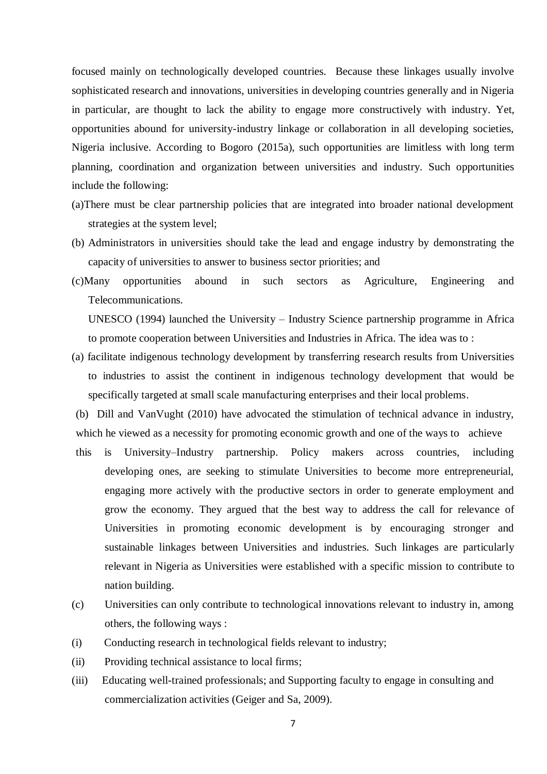focused mainly on technologically developed countries. Because these linkages usually involve sophisticated research and innovations, universities in developing countries generally and in Nigeria in particular, are thought to lack the ability to engage more constructively with industry. Yet, opportunities abound for university-industry linkage or collaboration in all developing societies, Nigeria inclusive. According to Bogoro (2015a), such opportunities are limitless with long term planning, coordination and organization between universities and industry. Such opportunities include the following:

- (a)There must be clear partnership policies that are integrated into broader national development strategies at the system level;
- (b) Administrators in universities should take the lead and engage industry by demonstrating the capacity of universities to answer to business sector priorities; and
- (c)Many opportunities abound in such sectors as Agriculture, Engineering and Telecommunications.

UNESCO (1994) launched the University – Industry Science partnership programme in Africa to promote cooperation between Universities and Industries in Africa. The idea was to :

(a) facilitate indigenous technology development by transferring research results from Universities to industries to assist the continent in indigenous technology development that would be specifically targeted at small scale manufacturing enterprises and their local problems.

(b) Dill and VanVught (2010) have advocated the stimulation of technical advance in industry, which he viewed as a necessity for promoting economic growth and one of the ways to achieve

- this is University–Industry partnership. Policy makers across countries, including developing ones, are seeking to stimulate Universities to become more entrepreneurial, engaging more actively with the productive sectors in order to generate employment and grow the economy. They argued that the best way to address the call for relevance of Universities in promoting economic development is by encouraging stronger and sustainable linkages between Universities and industries. Such linkages are particularly relevant in Nigeria as Universities were established with a specific mission to contribute to nation building.
- (c) Universities can only contribute to technological innovations relevant to industry in, among others, the following ways :
- (i) Conducting research in technological fields relevant to industry;
- (ii) Providing technical assistance to local firms;
- (iii) Educating well-trained professionals; and Supporting faculty to engage in consulting and commercialization activities (Geiger and Sa, 2009).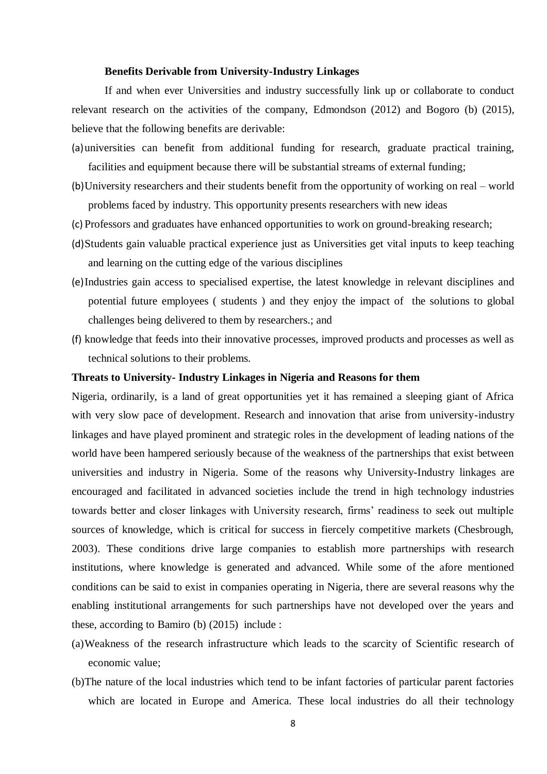#### **Benefits Derivable from University-Industry Linkages**

If and when ever Universities and industry successfully link up or collaborate to conduct relevant research on the activities of the company, Edmondson (2012) and Bogoro (b) (2015), believe that the following benefits are derivable:

- (a)universities can benefit from additional funding for research, graduate practical training, facilities and equipment because there will be substantial streams of external funding;
- (b)University researchers and their students benefit from the opportunity of working on real world problems faced by industry. This opportunity presents researchers with new ideas
- (c) Professors and graduates have enhanced opportunities to work on ground-breaking research;
- (d)Students gain valuable practical experience just as Universities get vital inputs to keep teaching and learning on the cutting edge of the various disciplines
- (e)Industries gain access to specialised expertise, the latest knowledge in relevant disciplines and potential future employees ( students ) and they enjoy the impact of the solutions to global challenges being delivered to them by researchers.; and
- (f) knowledge that feeds into their innovative processes, improved products and processes as well as technical solutions to their problems.

## **Threats to University- Industry Linkages in Nigeria and Reasons for them**

Nigeria, ordinarily, is a land of great opportunities yet it has remained a sleeping giant of Africa with very slow pace of development. Research and innovation that arise from university-industry linkages and have played prominent and strategic roles in the development of leading nations of the world have been hampered seriously because of the weakness of the partnerships that exist between universities and industry in Nigeria. Some of the reasons why University-Industry linkages are encouraged and facilitated in advanced societies include the trend in high technology industries towards better and closer linkages with University research, firms' readiness to seek out multiple sources of knowledge, which is critical for success in fiercely competitive markets (Chesbrough, 2003). These conditions drive large companies to establish more partnerships with research institutions, where knowledge is generated and advanced. While some of the afore mentioned conditions can be said to exist in companies operating in Nigeria, there are several reasons why the enabling institutional arrangements for such partnerships have not developed over the years and these, according to Bamiro (b) (2015) include :

- (a)Weakness of the research infrastructure which leads to the scarcity of Scientific research of economic value;
- (b)The nature of the local industries which tend to be infant factories of particular parent factories which are located in Europe and America. These local industries do all their technology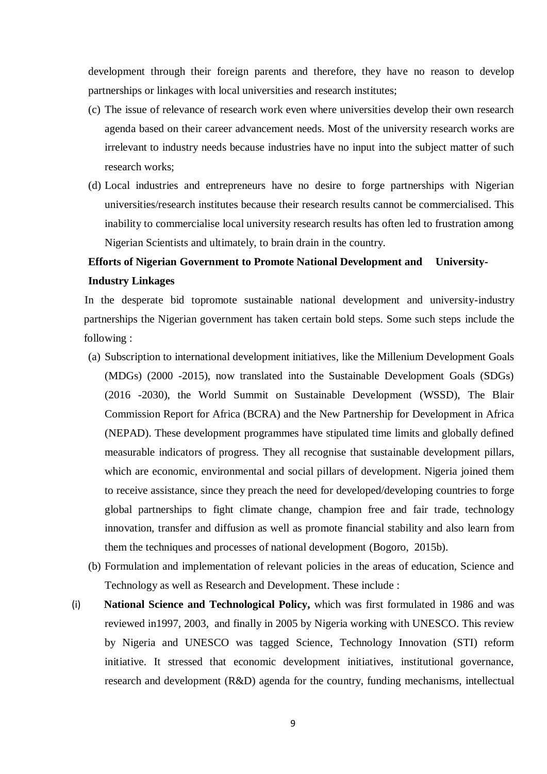development through their foreign parents and therefore, they have no reason to develop partnerships or linkages with local universities and research institutes;

- (c) The issue of relevance of research work even where universities develop their own research agenda based on their career advancement needs. Most of the university research works are irrelevant to industry needs because industries have no input into the subject matter of such research works;
- (d) Local industries and entrepreneurs have no desire to forge partnerships with Nigerian universities/research institutes because their research results cannot be commercialised. This inability to commercialise local university research results has often led to frustration among Nigerian Scientists and ultimately, to brain drain in the country.

# **Efforts of Nigerian Government to Promote National Development and University-Industry Linkages**

In the desperate bid topromote sustainable national development and university-industry partnerships the Nigerian government has taken certain bold steps. Some such steps include the following :

- (a) Subscription to international development initiatives, like the Millenium Development Goals (MDGs) (2000 -2015), now translated into the Sustainable Development Goals (SDGs) (2016 -2030), the World Summit on Sustainable Development (WSSD), The Blair Commission Report for Africa (BCRA) and the New Partnership for Development in Africa (NEPAD). These development programmes have stipulated time limits and globally defined measurable indicators of progress. They all recognise that sustainable development pillars, which are economic, environmental and social pillars of development. Nigeria joined them to receive assistance, since they preach the need for developed/developing countries to forge global partnerships to fight climate change, champion free and fair trade, technology innovation, transfer and diffusion as well as promote financial stability and also learn from them the techniques and processes of national development (Bogoro, 2015b).
- (b) Formulation and implementation of relevant policies in the areas of education, Science and Technology as well as Research and Development. These include :
- (i) **National Science and Technological Policy,** which was first formulated in 1986 and was reviewed in1997, 2003, and finally in 2005 by Nigeria working with UNESCO. This review by Nigeria and UNESCO was tagged Science, Technology Innovation (STI) reform initiative. It stressed that economic development initiatives, institutional governance, research and development (R&D) agenda for the country, funding mechanisms, intellectual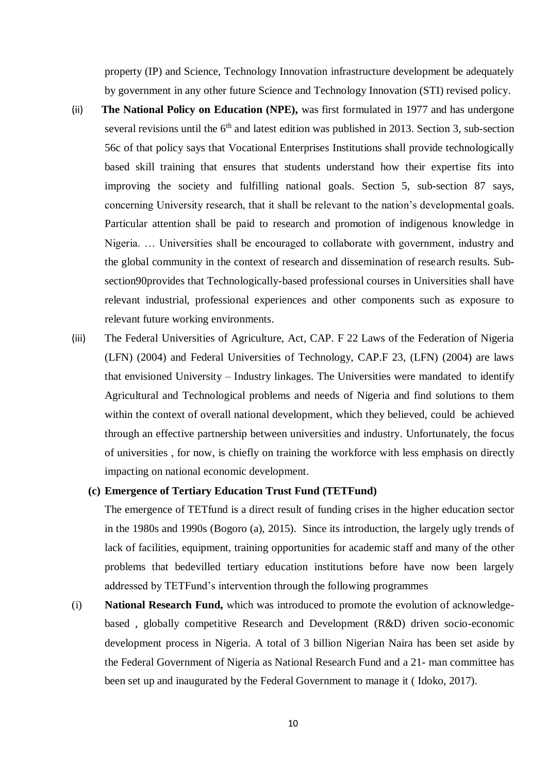property (IP) and Science, Technology Innovation infrastructure development be adequately by government in any other future Science and Technology Innovation (STI) revised policy.

- (ii) **The National Policy on Education (NPE),** was first formulated in 1977 and has undergone several revisions until the  $6<sup>th</sup>$  and latest edition was published in 2013. Section 3, sub-section 56c of that policy says that Vocational Enterprises Institutions shall provide technologically based skill training that ensures that students understand how their expertise fits into improving the society and fulfilling national goals. Section 5, sub-section 87 says, concerning University research, that it shall be relevant to the nation's developmental goals. Particular attention shall be paid to research and promotion of indigenous knowledge in Nigeria. … Universities shall be encouraged to collaborate with government, industry and the global community in the context of research and dissemination of research results. Subsection90provides that Technologically-based professional courses in Universities shall have relevant industrial, professional experiences and other components such as exposure to relevant future working environments.
- (iii) The Federal Universities of Agriculture, Act, CAP. F 22 Laws of the Federation of Nigeria (LFN) (2004) and Federal Universities of Technology, CAP.F 23, (LFN) (2004) are laws that envisioned University – Industry linkages. The Universities were mandated to identify Agricultural and Technological problems and needs of Nigeria and find solutions to them within the context of overall national development, which they believed, could be achieved through an effective partnership between universities and industry. Unfortunately, the focus of universities , for now, is chiefly on training the workforce with less emphasis on directly impacting on national economic development.

## **(c) Emergence of Tertiary Education Trust Fund (TETFund)**

The emergence of TETfund is a direct result of funding crises in the higher education sector in the 1980s and 1990s (Bogoro (a), 2015). Since its introduction, the largely ugly trends of lack of facilities, equipment, training opportunities for academic staff and many of the other problems that bedevilled tertiary education institutions before have now been largely addressed by TETFund's intervention through the following programmes

(i) **National Research Fund,** which was introduced to promote the evolution of acknowledgebased , globally competitive Research and Development (R&D) driven socio-economic development process in Nigeria. A total of 3 billion Nigerian Naira has been set aside by the Federal Government of Nigeria as National Research Fund and a 21- man committee has been set up and inaugurated by the Federal Government to manage it ( Idoko, 2017).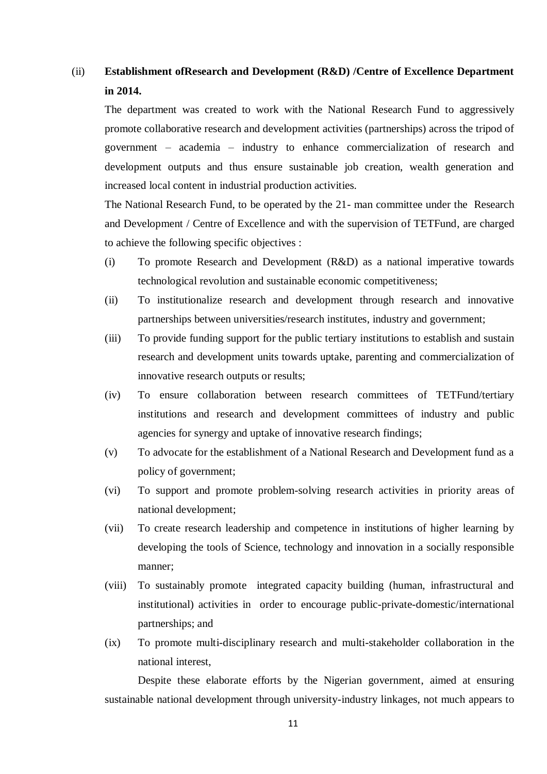# (ii) **Establishment ofResearch and Development (R&D) /Centre of Excellence Department in 2014.**

The department was created to work with the National Research Fund to aggressively promote collaborative research and development activities (partnerships) across the tripod of government – academia – industry to enhance commercialization of research and development outputs and thus ensure sustainable job creation, wealth generation and increased local content in industrial production activities.

The National Research Fund, to be operated by the 21- man committee under the Research and Development / Centre of Excellence and with the supervision of TETFund, are charged to achieve the following specific objectives :

- (i) To promote Research and Development (R&D) as a national imperative towards technological revolution and sustainable economic competitiveness;
- (ii) To institutionalize research and development through research and innovative partnerships between universities/research institutes, industry and government;
- (iii) To provide funding support for the public tertiary institutions to establish and sustain research and development units towards uptake, parenting and commercialization of innovative research outputs or results;
- (iv) To ensure collaboration between research committees of TETFund/tertiary institutions and research and development committees of industry and public agencies for synergy and uptake of innovative research findings;
- (v) To advocate for the establishment of a National Research and Development fund as a policy of government;
- (vi) To support and promote problem-solving research activities in priority areas of national development;
- (vii) To create research leadership and competence in institutions of higher learning by developing the tools of Science, technology and innovation in a socially responsible manner;
- (viii) To sustainably promote integrated capacity building (human, infrastructural and institutional) activities in order to encourage public-private-domestic/international partnerships; and
- (ix) To promote multi-disciplinary research and multi-stakeholder collaboration in the national interest,

Despite these elaborate efforts by the Nigerian government, aimed at ensuring sustainable national development through university-industry linkages, not much appears to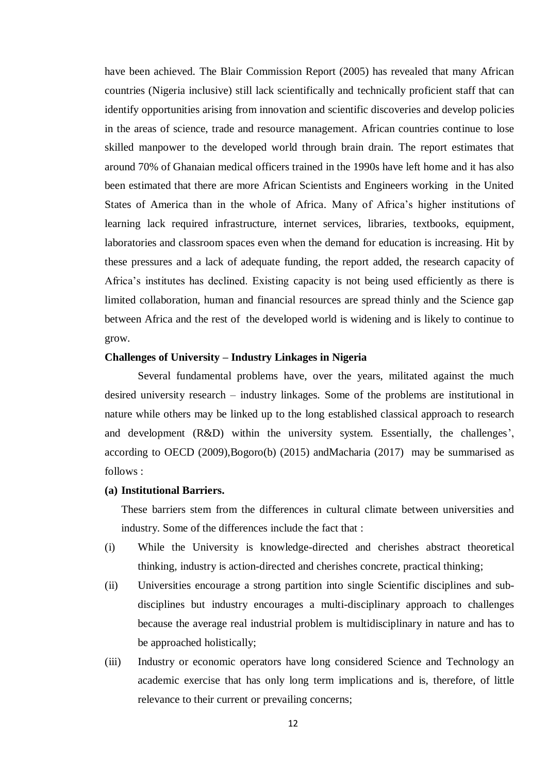have been achieved. The Blair Commission Report (2005) has revealed that many African countries (Nigeria inclusive) still lack scientifically and technically proficient staff that can identify opportunities arising from innovation and scientific discoveries and develop policies in the areas of science, trade and resource management. African countries continue to lose skilled manpower to the developed world through brain drain. The report estimates that around 70% of Ghanaian medical officers trained in the 1990s have left home and it has also been estimated that there are more African Scientists and Engineers working in the United States of America than in the whole of Africa. Many of Africa's higher institutions of learning lack required infrastructure, internet services, libraries, textbooks, equipment, laboratories and classroom spaces even when the demand for education is increasing. Hit by these pressures and a lack of adequate funding, the report added, the research capacity of Africa's institutes has declined. Existing capacity is not being used efficiently as there is limited collaboration, human and financial resources are spread thinly and the Science gap between Africa and the rest of the developed world is widening and is likely to continue to grow.

## **Challenges of University – Industry Linkages in Nigeria**

Several fundamental problems have, over the years, militated against the much desired university research – industry linkages. Some of the problems are institutional in nature while others may be linked up to the long established classical approach to research and development (R&D) within the university system. Essentially, the challenges', according to OECD (2009),Bogoro(b) (2015) andMacharia (2017) may be summarised as follows :

## **(a) Institutional Barriers.**

These barriers stem from the differences in cultural climate between universities and industry. Some of the differences include the fact that :

- (i) While the University is knowledge-directed and cherishes abstract theoretical thinking, industry is action-directed and cherishes concrete, practical thinking;
- (ii) Universities encourage a strong partition into single Scientific disciplines and subdisciplines but industry encourages a multi-disciplinary approach to challenges because the average real industrial problem is multidisciplinary in nature and has to be approached holistically;
- (iii) Industry or economic operators have long considered Science and Technology an academic exercise that has only long term implications and is, therefore, of little relevance to their current or prevailing concerns;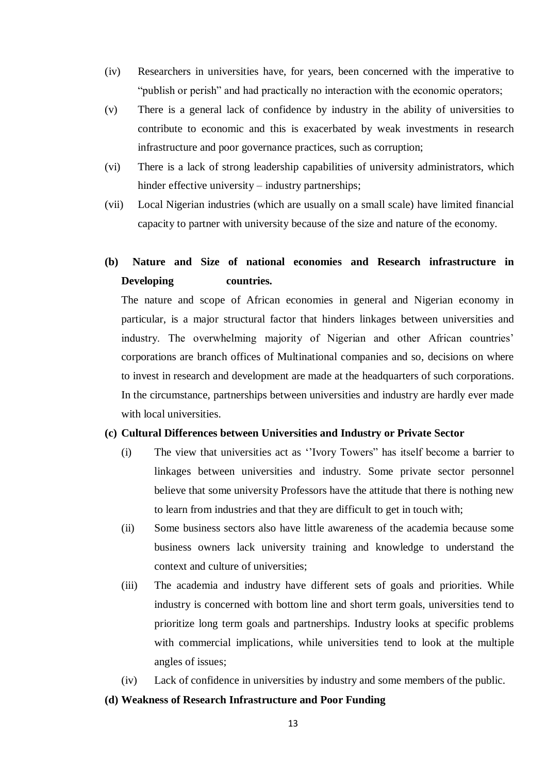- (iv) Researchers in universities have, for years, been concerned with the imperative to "publish or perish" and had practically no interaction with the economic operators;
- (v) There is a general lack of confidence by industry in the ability of universities to contribute to economic and this is exacerbated by weak investments in research infrastructure and poor governance practices, such as corruption;
- (vi) There is a lack of strong leadership capabilities of university administrators, which hinder effective university – industry partnerships;
- (vii) Local Nigerian industries (which are usually on a small scale) have limited financial capacity to partner with university because of the size and nature of the economy.

## **(b) Nature and Size of national economies and Research infrastructure in Developing countries.**

The nature and scope of African economies in general and Nigerian economy in particular, is a major structural factor that hinders linkages between universities and industry. The overwhelming majority of Nigerian and other African countries' corporations are branch offices of Multinational companies and so, decisions on where to invest in research and development are made at the headquarters of such corporations. In the circumstance, partnerships between universities and industry are hardly ever made with local universities.

## **(c) Cultural Differences between Universities and Industry or Private Sector**

- (i) The view that universities act as ''Ivory Towers" has itself become a barrier to linkages between universities and industry. Some private sector personnel believe that some university Professors have the attitude that there is nothing new to learn from industries and that they are difficult to get in touch with;
- (ii) Some business sectors also have little awareness of the academia because some business owners lack university training and knowledge to understand the context and culture of universities;
- (iii) The academia and industry have different sets of goals and priorities. While industry is concerned with bottom line and short term goals, universities tend to prioritize long term goals and partnerships. Industry looks at specific problems with commercial implications, while universities tend to look at the multiple angles of issues;
- (iv) Lack of confidence in universities by industry and some members of the public.

## **(d) Weakness of Research Infrastructure and Poor Funding**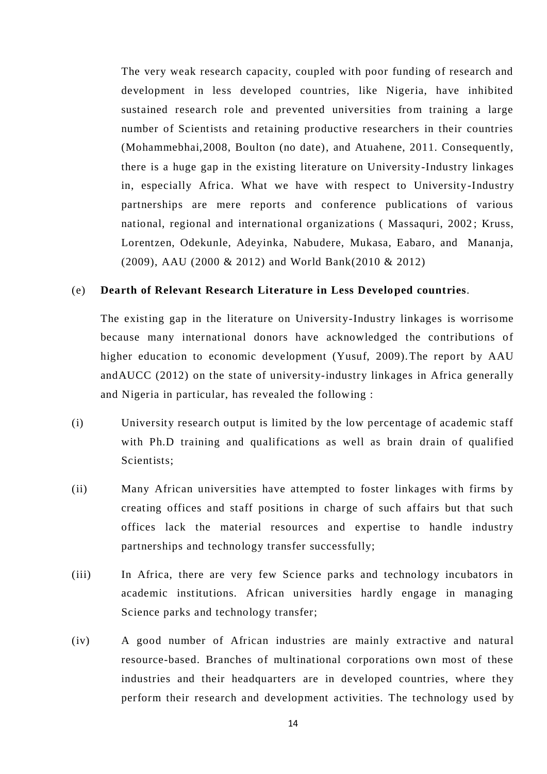The very weak research capacity, coupled with poor funding of research and development in less developed countries, like Nigeria, have inhibited sustained research role and prevented universities from training a large number of Scientists and retaining productive researchers in their countries (Mohammebhai,2008, Boulton (no date), and Atuahene, 2011. Consequently, there is a huge gap in the existing literature on University-Industry linkages in, especially Africa. What we have with respect to University-Industry partnerships are mere reports and conference publications of various national, regional and international organizations ( Massaquri, 2002 ; Kruss, Lorentzen, Odekunle, Adeyinka, Nabudere, Mukasa, Eabaro, and Mananja, (2009), AAU (2000 & 2012) and World Bank(2010 & 2012)

## (e) **Dearth of Relevant Research Literature in Less Developed countries**.

The existing gap in the literature on University-Industry linkages is worrisome because many international donors have acknowledged the contributions of higher education to economic development (Yusuf, 2009).The report by AAU andAUCC (2012) on the state of university-industry linkages in Africa generally and Nigeria in particular, has revealed the following :

- (i) University research output is limited by the low percentage of academic staff with Ph.D training and qualifications as well as brain drain of qualified Scientists;
- (ii) Many African universities have attempted to foster linkages with firms by creating offices and staff positions in charge of such affairs but that such offices lack the material resources and expertise to handle industry partnerships and technology transfer successfully;
- (iii) In Africa, there are very few Science parks and technology incubators in academic institutions. African universities hardly engage in managing Science parks and technology transfer;
- (iv) A good number of African industries are mainly extractive and natural resource-based. Branches of multinational corporations own most of these industries and their headquarters are in developed countries, where they perform their research and development activities. The technology us ed by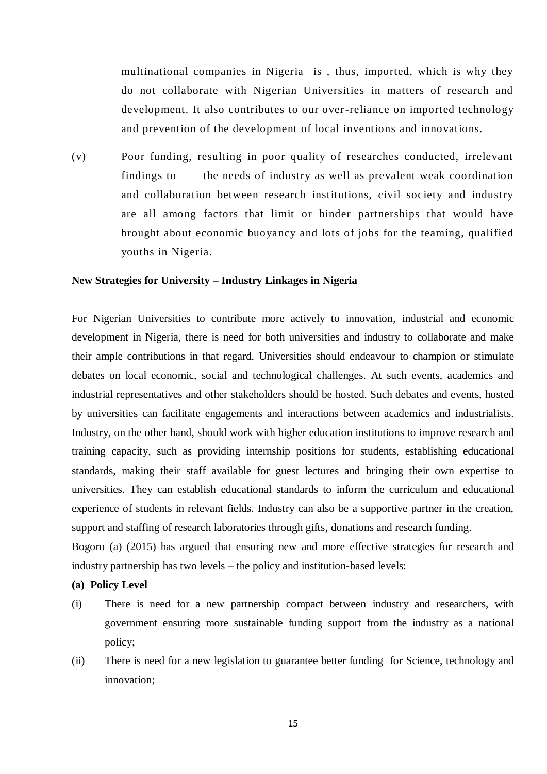multinational companies in Nigeria is , thus, imported, which is why they do not collaborate with Nigerian Universities in matters of research and development. It also contributes to our over-reliance on imported technology and prevention of the development of local inventions and innovations.

(v) Poor funding, resulting in poor quality of researches conducted, irrelevant findings to the needs of industry as well as prevalent weak coordination and collaboration between research institutions, civil society and industry are all among factors that limit or hinder partnerships that would have brought about economic buoyancy and lots of jobs for the teaming, qualified youths in Nigeria.

## **New Strategies for University – Industry Linkages in Nigeria**

For Nigerian Universities to contribute more actively to innovation, industrial and economic development in Nigeria, there is need for both universities and industry to collaborate and make their ample contributions in that regard. Universities should endeavour to champion or stimulate debates on local economic, social and technological challenges. At such events, academics and industrial representatives and other stakeholders should be hosted. Such debates and events, hosted by universities can facilitate engagements and interactions between academics and industrialists. Industry, on the other hand, should work with higher education institutions to improve research and training capacity, such as providing internship positions for students, establishing educational standards, making their staff available for guest lectures and bringing their own expertise to universities. They can establish educational standards to inform the curriculum and educational experience of students in relevant fields. Industry can also be a supportive partner in the creation, support and staffing of research laboratories through gifts, donations and research funding.

Bogoro (a) (2015) has argued that ensuring new and more effective strategies for research and industry partnership has two levels – the policy and institution-based levels:

## **(a) Policy Level**

- (i) There is need for a new partnership compact between industry and researchers, with government ensuring more sustainable funding support from the industry as a national policy;
- (ii) There is need for a new legislation to guarantee better funding for Science, technology and innovation;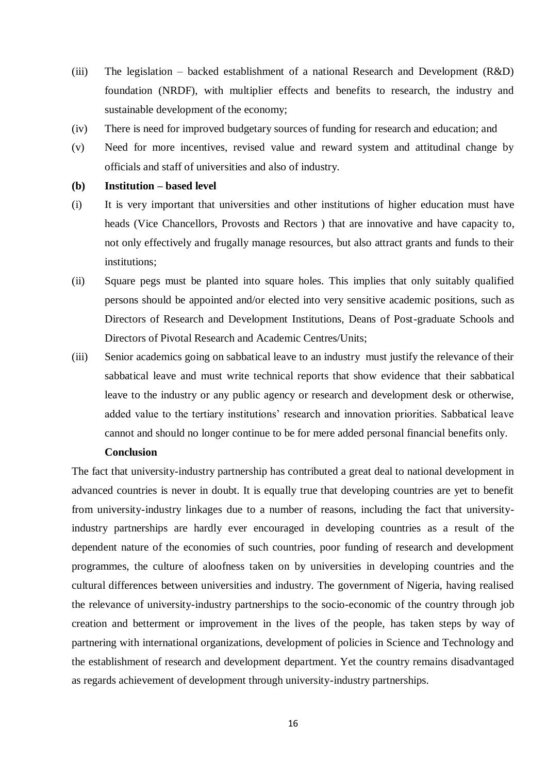- (iii) The legislation backed establishment of a national Research and Development  $(R&D)$ foundation (NRDF), with multiplier effects and benefits to research, the industry and sustainable development of the economy;
- (iv) There is need for improved budgetary sources of funding for research and education; and
- (v) Need for more incentives, revised value and reward system and attitudinal change by officials and staff of universities and also of industry.

## **(b) Institution – based level**

- (i) It is very important that universities and other institutions of higher education must have heads (Vice Chancellors, Provosts and Rectors ) that are innovative and have capacity to, not only effectively and frugally manage resources, but also attract grants and funds to their institutions;
- (ii) Square pegs must be planted into square holes. This implies that only suitably qualified persons should be appointed and/or elected into very sensitive academic positions, such as Directors of Research and Development Institutions, Deans of Post-graduate Schools and Directors of Pivotal Research and Academic Centres/Units;
- (iii) Senior academics going on sabbatical leave to an industry must justify the relevance of their sabbatical leave and must write technical reports that show evidence that their sabbatical leave to the industry or any public agency or research and development desk or otherwise, added value to the tertiary institutions' research and innovation priorities. Sabbatical leave cannot and should no longer continue to be for mere added personal financial benefits only.

## **Conclusion**

The fact that university-industry partnership has contributed a great deal to national development in advanced countries is never in doubt. It is equally true that developing countries are yet to benefit from university-industry linkages due to a number of reasons, including the fact that universityindustry partnerships are hardly ever encouraged in developing countries as a result of the dependent nature of the economies of such countries, poor funding of research and development programmes, the culture of aloofness taken on by universities in developing countries and the cultural differences between universities and industry. The government of Nigeria, having realised the relevance of university-industry partnerships to the socio-economic of the country through job creation and betterment or improvement in the lives of the people, has taken steps by way of partnering with international organizations, development of policies in Science and Technology and the establishment of research and development department. Yet the country remains disadvantaged as regards achievement of development through university-industry partnerships.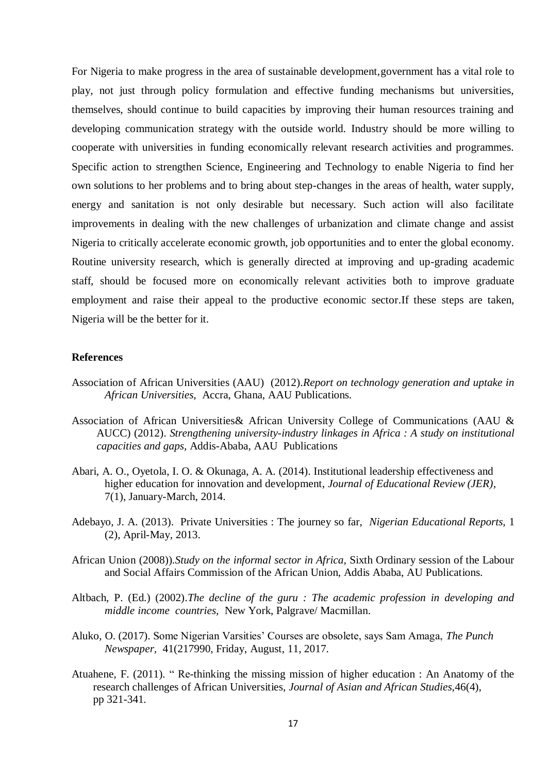For Nigeria to make progress in the area of sustainable development,government has a vital role to play, not just through policy formulation and effective funding mechanisms but universities, themselves, should continue to build capacities by improving their human resources training and developing communication strategy with the outside world. Industry should be more willing to cooperate with universities in funding economically relevant research activities and programmes. Specific action to strengthen Science, Engineering and Technology to enable Nigeria to find her own solutions to her problems and to bring about step-changes in the areas of health, water supply, energy and sanitation is not only desirable but necessary. Such action will also facilitate improvements in dealing with the new challenges of urbanization and climate change and assist Nigeria to critically accelerate economic growth, job opportunities and to enter the global economy. Routine university research, which is generally directed at improving and up-grading academic staff, should be focused more on economically relevant activities both to improve graduate employment and raise their appeal to the productive economic sector.If these steps are taken, Nigeria will be the better for it.

#### **References**

- Association of African Universities (AAU) (2012).*Report on technology generation and uptake in African Universities,* Accra, Ghana, AAU Publications.
- Association of African Universities& African University College of Communications (AAU & AUCC) (2012). *Strengthening university-industry linkages in Africa : A study on institutional capacities and gaps,* Addis-Ababa, AAU Publications
- Abari, A. O., Oyetola, I. O. & Okunaga, A. A. (2014). Institutional leadership effectiveness and higher education for innovation and development, *Journal of Educational Review (JER)*, 7(1), January-March, 2014.
- Adebayo, J. A. (2013). Private Universities : The journey so far, *Nigerian Educational Reports,* 1 (2), April-May, 2013.
- African Union (2008)).*Study on the informal sector in Africa,* Sixth Ordinary session of the Labour and Social Affairs Commission of the African Union, Addis Ababa, AU Publications.
- Altbach, P. (Ed.) (2002).*The decline of the guru : The academic profession in developing and middle income countries,* New York, Palgrave/ Macmillan.
- Aluko, O. (2017). Some Nigerian Varsities' Courses are obsolete, says Sam Amaga, *The Punch Newspaper,* 41(217990, Friday, August, 11, 2017.
- Atuahene, F. (2011). " Re-thinking the missing mission of higher education : An Anatomy of the research challenges of African Universities, *Journal of Asian and African Studies,*46(4), pp 321-341.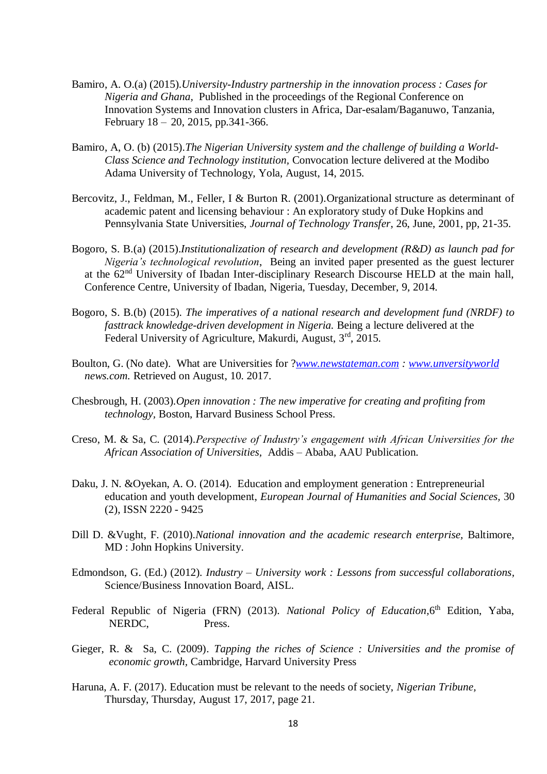- Bamiro, A. O.(a) (2015).*University-Industry partnership in the innovation process : Cases for Nigeria and Ghana,* Published in the proceedings of the Regional Conference on Innovation Systems and Innovation clusters in Africa, Dar-esalam/Baganuwo, Tanzania, February 18 – 20, 2015, pp.341-366.
- Bamiro, A, O. (b) (2015).*The Nigerian University system and the challenge of building a World-Class Science and Technology institution,* Convocation lecture delivered at the Modibo Adama University of Technology, Yola, August, 14, 2015.
- Bercovitz, J., Feldman, M., Feller, I & Burton R. (2001).Organizational structure as determinant of academic patent and licensing behaviour : An exploratory study of Duke Hopkins and Pennsylvania State Universities, *Journal of Technology Transfer*, 26, June, 2001, pp, 21-35.
- Bogoro, S. B.(a) (2015).*Institutionalization of research and development (R&D) as launch pad for Nigeria's technological revolution*, Being an invited paper presented as the guest lecturer at the 62nd University of Ibadan Inter-disciplinary Research Discourse HELD at the main hall, Conference Centre, University of Ibadan, Nigeria, Tuesday, December, 9, 2014.
- Bogoro, S. B.(b) (2015). *The imperatives of a national research and development fund (NRDF) to fasttrack knowledge-driven development in Nigeria.* Being a lecture delivered at the Federal University of Agriculture, Makurdi, August, 3rd, 2015.
- Boulton, G. (No date). What are Universities for ?*[www.newstateman.com](http://www.newstateman.com/) : [www.unversityworld](http://www.unversityworld/) news.com.* Retrieved on August, 10. 2017.
- Chesbrough, H. (2003).*Open innovation : The new imperative for creating and profiting from technology,* Boston, Harvard Business School Press.
- Creso, M. & Sa, C. (2014).*Perspective of Industry's engagement with African Universities for the African Association of Universities,* Addis – Ababa, AAU Publication.
- Daku, J. N. &Oyekan, A. O. (2014). Education and employment generation : Entrepreneurial education and youth development, *European Journal of Humanities and Social Sciences,* 30 (2), ISSN 2220 - 9425
- Dill D. &Vught, F. (2010).*National innovation and the academic research enterprise,* Baltimore, MD : John Hopkins University.
- Edmondson, G. (Ed.) (2012). *Industry – University work : Lessons from successful collaborations,*  Science/Business Innovation Board, AISL.
- Federal Republic of Nigeria (FRN) (2013). *National Policy of Education*, 6<sup>th</sup> Edition, Yaba, NERDC, Press.
- Gieger, R. & Sa, C. (2009). *Tapping the riches of Science : Universities and the promise of economic growth,* Cambridge, Harvard University Press
- Haruna, A. F. (2017). Education must be relevant to the needs of society, *Nigerian Tribune,*  Thursday, Thursday, August 17, 2017, page 21.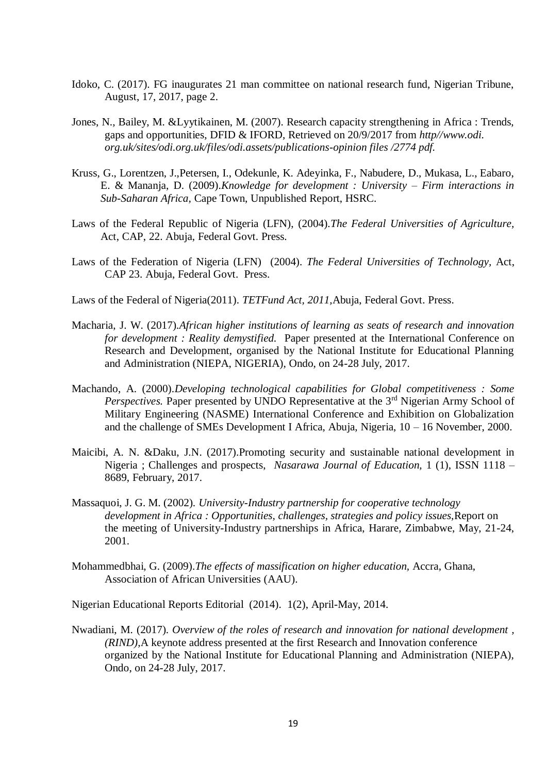- Idoko, C. (2017). FG inaugurates 21 man committee on national research fund, Nigerian Tribune, August, 17, 2017, page 2.
- Jones, N., Bailey, M. &Lyytikainen, M. (2007). Research capacity strengthening in Africa : Trends, gaps and opportunities, DFID & IFORD, Retrieved on 20/9/2017 from *http//www.odi. org.uk/sites/odi.org.uk/files/odi.assets/publications-opinion files /2774 pdf.*
- Kruss, G., Lorentzen, J.,Petersen, I., Odekunle, K. Adeyinka, F., Nabudere, D., Mukasa, L., Eabaro, E. & Mananja, D. (2009).*Knowledge for development : University – Firm interactions in Sub-Saharan Africa,* Cape Town, Unpublished Report, HSRC.
- Laws of the Federal Republic of Nigeria (LFN), (2004).*The Federal Universities of Agriculture,* Act, CAP, 22. Abuja, Federal Govt. Press.
- Laws of the Federation of Nigeria (LFN) (2004). *The Federal Universities of Technology,* Act, CAP 23. Abuja, Federal Govt. Press.
- Laws of the Federal of Nigeria(2011). *TETFund Act, 2011,*Abuja, Federal Govt. Press.
- Macharia, J. W. (2017).*African higher institutions of learning as seats of research and innovation for development : Reality demystified.* Paper presented at the International Conference on Research and Development, organised by the National Institute for Educational Planning and Administration (NIEPA, NIGERIA), Ondo, on 24-28 July, 2017.
- Machando, A. (2000).*Developing technological capabilities for Global competitiveness : Some Perspectives.* Paper presented by UNDO Representative at the 3<sup>rd</sup> Nigerian Army School of Military Engineering (NASME) International Conference and Exhibition on Globalization and the challenge of SMEs Development I Africa, Abuja, Nigeria, 10 – 16 November, 2000.
- Maicibi, A. N. &Daku, J.N. (2017).Promoting security and sustainable national development in Nigeria ; Challenges and prospects, *Nasarawa Journal of Education,* 1 (1), ISSN 1118 – 8689, February, 2017.
- Massaquoi, J. G. M. (2002). *University-Industry partnership for cooperative technology development in Africa : Opportunities, challenges, strategies and policy issues,*Report on the meeting of University-Industry partnerships in Africa, Harare, Zimbabwe, May, 21-24, 2001.
- Mohammedbhai, G. (2009).*The effects of massification on higher education,* Accra, Ghana, Association of African Universities (AAU).

Nigerian Educational Reports Editorial (2014). 1(2), April-May, 2014.

Nwadiani, M. (2017). *Overview of the roles of research and innovation for national development , (RIND),*A keynote address presented at the first Research and Innovation conference organized by the National Institute for Educational Planning and Administration (NIEPA), Ondo, on 24-28 July, 2017.